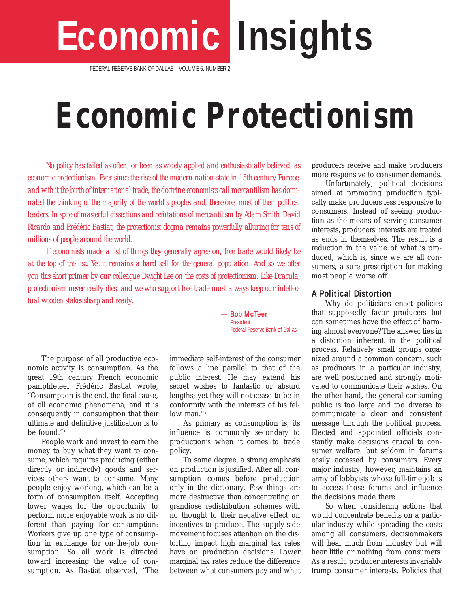# **Economic Insights**

FEDERAL RESERVE BANK OF DALLAS VOLUME 6, NUMBER 2

## **Economic Protectionism**

*No policy has failed as often, or been as widely applied and enthusiastically believed, as economic protectionism. Ever since the rise of the modern nation-state in 15th century Europe, and with it the birth of international trade, the doctrine economists call mercantilism has dominated the thinking of the majority of the world's peoples and, therefore, most of their political leaders. In spite of masterful dissections and refutations of mercantilism by Adam Smith, David Ricardo and Frédéric Bastiat, the protectionist dogma remains powerfully alluring for tens of millions of people around the world.* 

*If economists made a list of things they generally agree on, free trade would likely be at the top of the list. Yet it remains a hard sell for the general population. And so we offer you this short primer by our colleague Dwight Lee on the costs of protectionism. Like Dracula, protectionism never really dies, and we who support free trade must always keep our intellectual wooden stakes sharp and ready*.

The purpose of all productive economic activity is consumption. As the great 19th century French economic pamphleteer Frédéric Bastiat wrote, "Consumption is the end, the final cause, of all economic phenomena, and it is consequently in consumption that their ultimate and definitive justification is to be found." <sup>1</sup>

People work and invest to earn the money to buy what they want to consume, which requires producing (either directly or indirectly) goods and services others want to consume. Many people enjoy working, which can be a form of consumption itself. Accepting lower wages for the opportunity to perform more enjoyable work is no different than paying for consumption: Workers give up one type of consumption in exchange for on-the-job consumption. So all work is directed toward increasing the value of consumption. As Bastiat observed, "The *—* **Bob McTeer** President Federal Reserve Bank of Dallas

immediate self-interest of the consumer follows a line parallel to that of the public interest. He may extend his secret wishes to fantastic or absurd lengths; yet they will not cease to be in conformity with the interests of his fellow man."<sup>2</sup>

As primary as consumption is, its influence is commonly secondary to production's when it comes to trade policy.

To some degree, a strong emphasis on production is justified. After all, consumption comes before production only in the dictionary. Few things are more destructive than concentrating on grandiose redistribution schemes with no thought to their negative effect on incentives to produce. The supply-side movement focuses attention on the distorting impact high marginal tax rates have on production decisions. Lower marginal tax rates reduce the difference between what consumers pay and what

producers receive and make producers more responsive to consumer demands.

Unfortunately, political decisions aimed at promoting production typically make producers less responsive to consumers. Instead of seeing production as the means of serving consumer interests, producers' interests are treated as ends in themselves. The result is a reduction in the value of what is produced, which is, since we are all consumers, a sure prescription for making most people worse off.

#### **A Political Distortion**

Why do politicians enact policies that supposedly favor producers but can sometimes have the effect of harming almost everyone? The answer lies in a distortion inherent in the political process. Relatively small groups organized around a common concern, such as producers in a particular industry, are well positioned and strongly motivated to communicate their wishes. On the other hand, the general consuming public is too large and too diverse to communicate a clear and consistent message through the political process. Elected and appointed officials constantly make decisions crucial to consumer welfare, but seldom in forums easily accessed by consumers. Every major industry, however, maintains an army of lobbyists whose full-time job is to access those forums and influence the decisions made there.

So when considering actions that would concentrate benefits on a particular industry while spreading the costs among all consumers, decisionmakers will hear much from industry but will hear little or nothing from consumers. As a result, producer interests invariably trump consumer interests. Policies that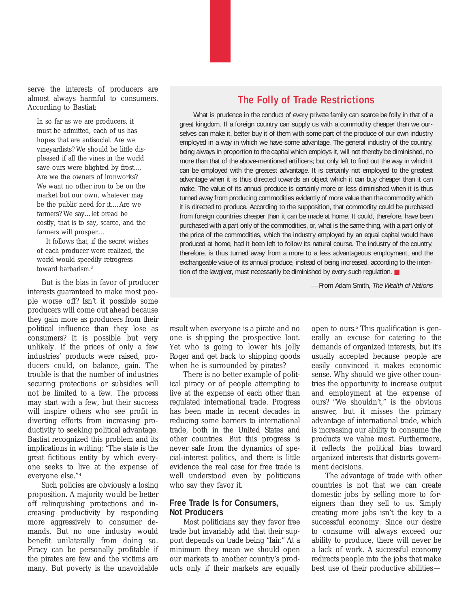serve the interests of producers are almost always harmful to consumers. According to Bastiat:

In so far as we are producers, it must be admitted, each of us has hopes that are antisocial. Are we vineyardists? We should be little displeased if all the vines in the world save ours were blighted by frost.… Are we the owners of ironworks? We want no other iron to be on the market but our own, whatever may be the public need for it.…Are we farmers? We say…let bread be costly, that is to say, scarce, and the farmers will prosper.…

It follows that, if the secret wishes of each producer were realized, the world would speedily retrogress toward barbarism.<sup>3</sup>

But is the bias in favor of producer interests guaranteed to make most people worse off? Isn't it possible some producers will come out ahead because they gain more as producers from their political influence than they lose as consumers? It is possible but very unlikely. If the prices of only a few industries' products were raised, producers could, on balance, gain. The trouble is that the number of industries securing protections or subsidies will not be limited to a few. The process may start with a few, but their success will inspire others who see profit in diverting efforts from increasing productivity to seeking political advantage. Bastiat recognized this problem and its implications in writing: "The state is the great fictitious entity by which everyone seeks to live at the expense of everyone else." <sup>4</sup>

Such policies are obviously a losing proposition. A majority would be better off relinquishing protections and increasing productivity by responding more aggressively to consumer demands. But no one industry would benefit unilaterally from doing so. Piracy can be personally profitable if the pirates are few and the victims are many. But poverty is the unavoidable

#### **The Folly of Trade Restrictions**

What is prudence in the conduct of every private family can scarce be folly in that of a great kingdom. If a foreign country can supply us with a commodity cheaper than we ourselves can make it, better buy it of them with some part of the produce of our own industry employed in a way in which we have some advantage. The general industry of the country, being always in proportion to the capital which employs it, will not thereby be diminished, no more than that of the above-mentioned artificers; but only left to find out the way in which it can be employed with the greatest advantage. It is certainly not employed to the greatest advantage when it is thus directed towards an object which it can buy cheaper than it can make. The value of its annual produce is certainly more or less diminished when it is thus turned away from producing commodities evidently of more value than the commodity which it is directed to produce. According to the supposition, that commodity could be purchased from foreign countries cheaper than it can be made at home. It could, therefore, have been purchased with a part only of the commodities, or, what is the same thing, with a part only of the price of the commodities, which the industry employed by an equal capital would have produced at home, had it been left to follow its natural course. The industry of the country, therefore, is thus turned away from a more to a less advantageous employment, and the exchangeable value of its annual produce, instead of being increased, according to the intention of the lawgiver, must necessarily be diminished by every such regulation. ■

—From Adam Smith, *The Wealth of Nations*

result when everyone is a pirate and no one is shipping the prospective loot. Yet who is going to lower his Jolly Roger and get back to shipping goods when he is surrounded by pirates?

There is no better example of political piracy or of people attempting to live at the expense of each other than regulated international trade. Progress has been made in recent decades in reducing some barriers to international trade, both in the United States and other countries. But this progress is never safe from the dynamics of special-interest politics, and there is little evidence the real case for free trade is well understood even by politicians who say they favor it.

#### **Free Trade Is for Consumers, Not Producers**

Most politicians say they favor free trade but invariably add that their support depends on trade being "fair." At a minimum they mean we should open our markets to another country's products only if their markets are equally

open to ours.<sup>5</sup> This qualification is generally an excuse for catering to the demands of organized interests, but it's usually accepted because people are easily convinced it makes economic sense. Why should we give other countries the opportunity to increase output and employment at the expense of ours? "We shouldn't," is the obvious answer, but it misses the primary advantage of international trade, which is increasing our ability to consume the products we value most. Furthermore, it reflects the political bias toward organized interests that distorts government decisions.

The advantage of trade with other countries is not that we can create domestic jobs by selling more to foreigners than they sell to us. Simply creating more jobs isn't the key to a successful economy. Since our desire to consume will always exceed our ability to produce, there will never be a lack of work. A successful economy redirects people into the jobs that make best use of their productive abilities—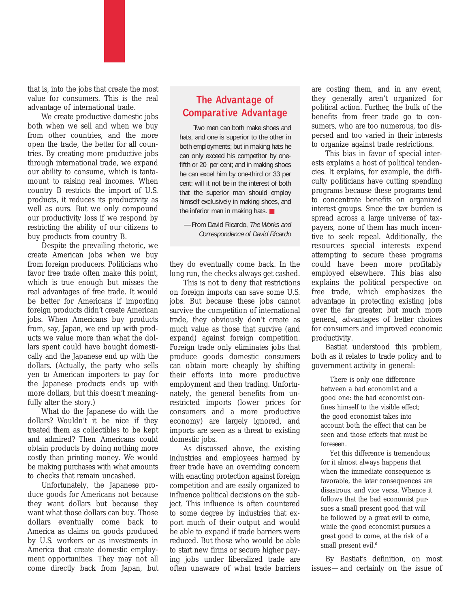that is, into the jobs that create the most value for consumers. This is the real advantage of international trade.

We create productive domestic jobs both when we sell and when we buy from other countries, and the more open the trade, the better for all countries. By creating more productive jobs through international trade, we expand our ability to consume, which is tantamount to raising real incomes. When country B restricts the import of U.S. products, it reduces its productivity as well as ours. But we only compound our productivity loss if we respond by restricting the ability of our citizens to buy products from country B.

Despite the prevailing rhetoric, we create American jobs when we buy from foreign producers. Politicians who favor free trade often make this point, which is true enough but misses the real advantages of free trade. It would be better for Americans if importing foreign products didn't create American jobs. When Americans buy products from, say, Japan, we end up with products we value more than what the dollars spent could have bought domestically and the Japanese end up with the dollars. (Actually, the party who sells yen to American importers to pay for the Japanese products ends up with more dollars, but this doesn't meaningfully alter the story.)

What do the Japanese do with the dollars? Wouldn't it be nice if they treated them as collectibles to be kept and admired? Then Americans could obtain products by doing nothing more costly than printing money. We would be making purchases with what amounts to checks that remain uncashed.

Unfortunately, the Japanese produce goods for Americans not because they want dollars but because they want what those dollars can buy. Those dollars eventually come back to America as claims on goods produced by U.S. workers or as investments in America that create domestic employment opportunities. They may not all come directly back from Japan, but

### **The Advantage of Comparative Advantage**

Two men can both make shoes and hats, and one is superior to the other in both employments; but in making hats he can only exceed his competitor by onefifth or 20 per cent; and in making shoes he can excel him by one-third or 33 per cent: will it not be in the interest of both that the superior man should employ himself exclusively in making shoes, and the inferior man in making hats. ■

—From David Ricardo, *The Works and Correspondence of David Ricardo*

they do eventually come back. In the long run, the checks always get cashed.

This is not to deny that restrictions on foreign imports can save some U.S. jobs. But because these jobs cannot survive the competition of international trade, they obviously don't create as much value as those that survive (and expand) against foreign competition. Foreign trade only eliminates jobs that produce goods domestic consumers can obtain more cheaply by shifting their efforts into more productive employment and then trading. Unfortunately, the general benefits from unrestricted imports (lower prices for consumers and a more productive economy) are largely ignored, and imports are seen as a threat to existing domestic jobs.

As discussed above, the existing industries and employees harmed by freer trade have an overriding concern with enacting protection against foreign competition and are easily organized to influence political decisions on the subject. This influence is often countered to some degree by industries that export much of their output and would be able to expand if trade barriers were reduced. But those who would be able to start new firms or secure higher paying jobs under liberalized trade are often unaware of what trade barriers

are costing them, and in any event, they generally aren't organized for political action. Further, the bulk of the benefits from freer trade go to consumers, who are too numerous, too dispersed and too varied in their interests to organize against trade restrictions.

This bias in favor of special interests explains a host of political tendencies. It explains, for example, the difficulty politicians have cutting spending programs because these programs tend to concentrate benefits on organized interest groups. Since the tax burden is spread across a large universe of taxpayers, none of them has much incentive to seek repeal. Additionally, the resources special interests expend attempting to secure these programs could have been more profitably employed elsewhere. This bias also explains the political perspective on free trade, which emphasizes the advantage in protecting existing jobs over the far greater, but much more general, advantages of better choices for consumers and improved economic productivity.

Bastiat understood this problem, both as it relates to trade policy and to government activity in general:

There is only one difference between a bad economist and a good one: the bad economist confines himself to the *visible* effect; the good economist takes into account both the effect that can be seen and those effects that must be *foreseen*.

Yet this difference is tremendous; for it almost always happens that when the immediate consequence is favorable, the later consequences are disastrous, and vice versa. Whence it follows that the bad economist pursues a small present good that will be followed by a great evil to come, while the good economist pursues a great good to come, at the risk of a small present evil.<sup>6</sup>

By Bastiat's definition, on most issues—and certainly on the issue of